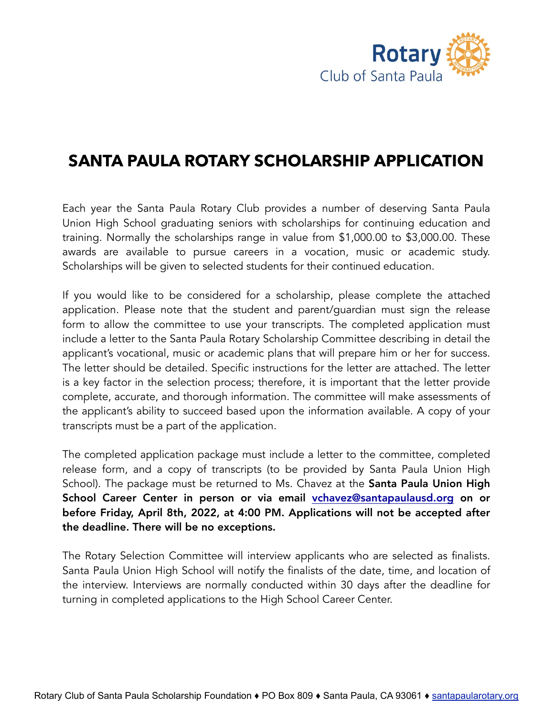

## **SANTA PAULA ROTARY SCHOLARSHIP APPLICATION**

Each year the Santa Paula Rotary Club provides a number of deserving Santa Paula Union High School graduating seniors with scholarships for continuing education and training. Normally the scholarships range in value from \$1,000.00 to \$3,000.00. These awards are available to pursue careers in a vocation, music or academic study. Scholarships will be given to selected students for their continued education.

If you would like to be considered for a scholarship, please complete the attached application. Please note that the student and parent/guardian must sign the release form to allow the committee to use your transcripts. The completed application must include a letter to the Santa Paula Rotary Scholarship Committee describing in detail the applicant's vocational, music or academic plans that will prepare him or her for success. The letter should be detailed. Specific instructions for the letter are attached. The letter is a key factor in the selection process; therefore, it is important that the letter provide complete, accurate, and thorough information. The committee will make assessments of the applicant's ability to succeed based upon the information available. A copy of your transcripts must be a part of the application.

The completed application package must include a letter to the committee, completed release form, and a copy of transcripts (to be provided by Santa Paula Union High School). The package must be returned to Ms. Chavez at the Santa Paula Union High School Career Center in person or via email [vchavez@santapaulausd.org](mailto:vchavez@santapaulausd.org) on or before Friday, April 8th, 2022, at 4:00 PM. Applications will not be accepted after the deadline. There will be no exceptions.

The Rotary Selection Committee will interview applicants who are selected as finalists. Santa Paula Union High School will notify the finalists of the date, time, and location of the interview. Interviews are normally conducted within 30 days after the deadline for turning in completed applications to the High School Career Center.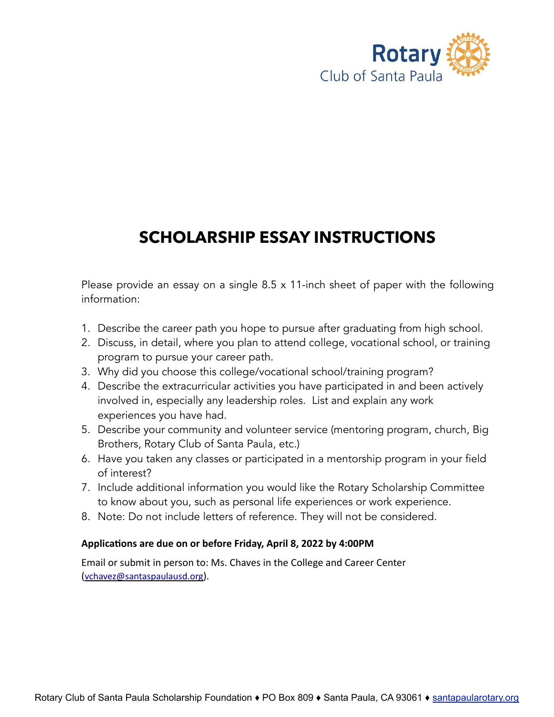

# **SCHOLARSHIP ESSAY INSTRUCTIONS**

Please provide an essay on a single 8.5 x 11-inch sheet of paper with the following information:

- 1. Describe the career path you hope to pursue after graduating from high school.
- 2. Discuss, in detail, where you plan to attend college, vocational school, or training program to pursue your career path.
- 3. Why did you choose this college/vocational school/training program?
- 4. Describe the extracurricular activities you have participated in and been actively involved in, especially any leadership roles. List and explain any work experiences you have had.
- 5. Describe your community and volunteer service (mentoring program, church, Big Brothers, Rotary Club of Santa Paula, etc.)
- 6. Have you taken any classes or participated in a mentorship program in your field of interest?
- 7. Include additional information you would like the Rotary Scholarship Committee to know about you, such as personal life experiences or work experience.
- 8. Note: Do not include letters of reference. They will not be considered.

#### **Applica'ons are due on or before Friday, April 8, 2022 by 4:00PM**

Email or submit in person to: Ms. Chaves in the College and Career Center ([vchavez@santaspaulausd.org\)](mailto:vchavez@santaspaulausd.org).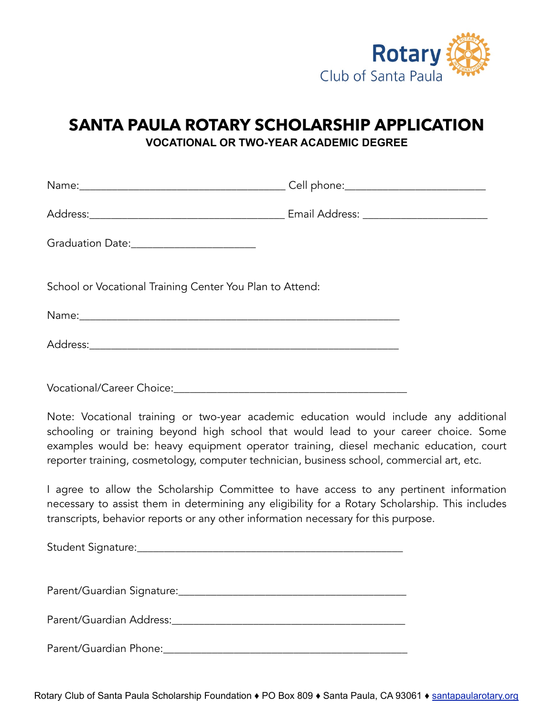

#### **SANTA PAULA ROTARY SCHOLARSHIP APPLICATION VOCATIONAL OR TWO-YEAR ACADEMIC DEGREE**

| Graduation Date:_________________________                                                                                                                                                                                                                                                                                                                             |  |  |  |
|-----------------------------------------------------------------------------------------------------------------------------------------------------------------------------------------------------------------------------------------------------------------------------------------------------------------------------------------------------------------------|--|--|--|
| School or Vocational Training Center You Plan to Attend:                                                                                                                                                                                                                                                                                                              |  |  |  |
|                                                                                                                                                                                                                                                                                                                                                                       |  |  |  |
|                                                                                                                                                                                                                                                                                                                                                                       |  |  |  |
| Vocational/Career Choice: Management Character Choice:                                                                                                                                                                                                                                                                                                                |  |  |  |
| Note: Vocational training or two-year academic education would include any additional<br>schooling or training beyond high school that would lead to your career choice. Some<br>examples would be: heavy equipment operator training, diesel mechanic education, court<br>reporter training, cosmetology, computer technician, business school, commercial art, etc. |  |  |  |
| I agree to allow the Scholarship Committee to have access to any pertinent information<br>necessary to assist them in determining any eligibility for a Rotary Scholarship. This includes<br>transcripts, behavior reports or any other information necessary for this purpose.                                                                                       |  |  |  |
|                                                                                                                                                                                                                                                                                                                                                                       |  |  |  |
|                                                                                                                                                                                                                                                                                                                                                                       |  |  |  |
|                                                                                                                                                                                                                                                                                                                                                                       |  |  |  |

Parent/Guardian Phone:\_\_\_\_\_\_\_\_\_\_\_\_\_\_\_\_\_\_\_\_\_\_\_\_\_\_\_\_\_\_\_\_\_\_\_\_\_\_\_\_\_\_\_\_\_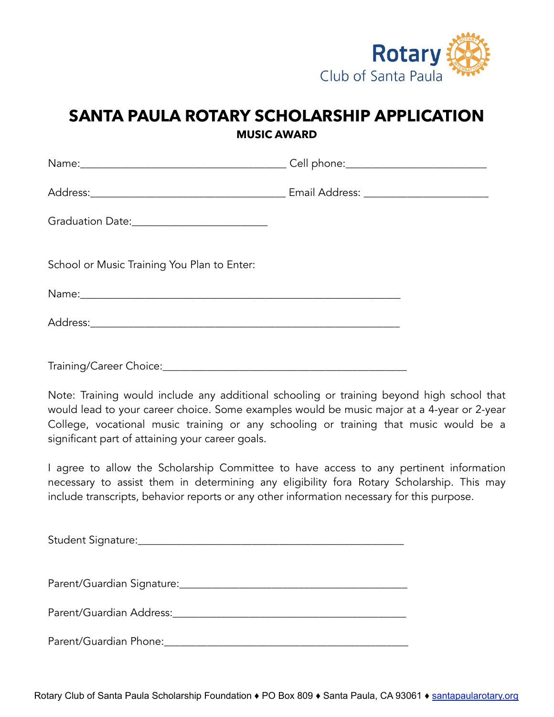

### **SANTA PAULA ROTARY SCHOLARSHIP APPLICATION MUSIC AWARD**

| Graduation Date: ___________________________ |  |
|----------------------------------------------|--|
| School or Music Training You Plan to Enter:  |  |
|                                              |  |
|                                              |  |
|                                              |  |

Note: Training would include any additional schooling or training beyond high school that would lead to your career choice. Some examples would be music major at a 4-year or 2-year College, vocational music training or any schooling or training that music would be a significant part of attaining your career goals.

I agree to allow the Scholarship Committee to have access to any pertinent information necessary to assist them in determining any eligibility fora Rotary Scholarship. This may include transcripts, behavior reports or any other information necessary for this purpose.

| Student Signature: |  |
|--------------------|--|
|                    |  |

Parent/Guardian Signature:\_\_\_\_\_\_\_\_\_\_\_\_\_\_\_\_\_\_\_\_\_\_\_\_\_\_\_\_\_\_\_\_\_\_\_\_\_\_\_\_\_\_

Parent/Guardian Address:

Parent/Guardian Phone:\_\_\_\_\_\_\_\_\_\_\_\_\_\_\_\_\_\_\_\_\_\_\_\_\_\_\_\_\_\_\_\_\_\_\_\_\_\_\_\_\_\_\_\_\_